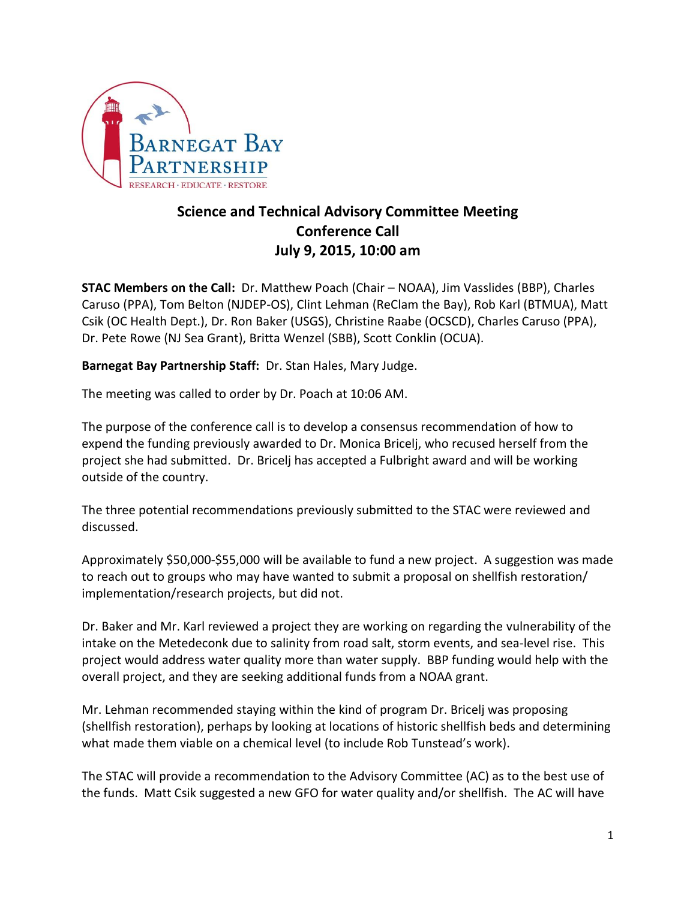

## **Science and Technical Advisory Committee Meeting Conference Call July 9, 2015, 10:00 am**

**STAC Members on the Call:** Dr. Matthew Poach (Chair – NOAA), Jim Vasslides (BBP), Charles Caruso (PPA), Tom Belton (NJDEP-OS), Clint Lehman (ReClam the Bay), Rob Karl (BTMUA), Matt Csik (OC Health Dept.), Dr. Ron Baker (USGS), Christine Raabe (OCSCD), Charles Caruso (PPA), Dr. Pete Rowe (NJ Sea Grant), Britta Wenzel (SBB), Scott Conklin (OCUA).

**Barnegat Bay Partnership Staff:** Dr. Stan Hales, Mary Judge.

The meeting was called to order by Dr. Poach at 10:06 AM.

The purpose of the conference call is to develop a consensus recommendation of how to expend the funding previously awarded to Dr. Monica Bricelj, who recused herself from the project she had submitted. Dr. Bricelj has accepted a Fulbright award and will be working outside of the country.

The three potential recommendations previously submitted to the STAC were reviewed and discussed.

Approximately \$50,000-\$55,000 will be available to fund a new project. A suggestion was made to reach out to groups who may have wanted to submit a proposal on shellfish restoration/ implementation/research projects, but did not.

Dr. Baker and Mr. Karl reviewed a project they are working on regarding the vulnerability of the intake on the Metedeconk due to salinity from road salt, storm events, and sea-level rise. This project would address water quality more than water supply. BBP funding would help with the overall project, and they are seeking additional funds from a NOAA grant.

Mr. Lehman recommended staying within the kind of program Dr. Bricelj was proposing (shellfish restoration), perhaps by looking at locations of historic shellfish beds and determining what made them viable on a chemical level (to include Rob Tunstead's work).

The STAC will provide a recommendation to the Advisory Committee (AC) as to the best use of the funds. Matt Csik suggested a new GFO for water quality and/or shellfish. The AC will have